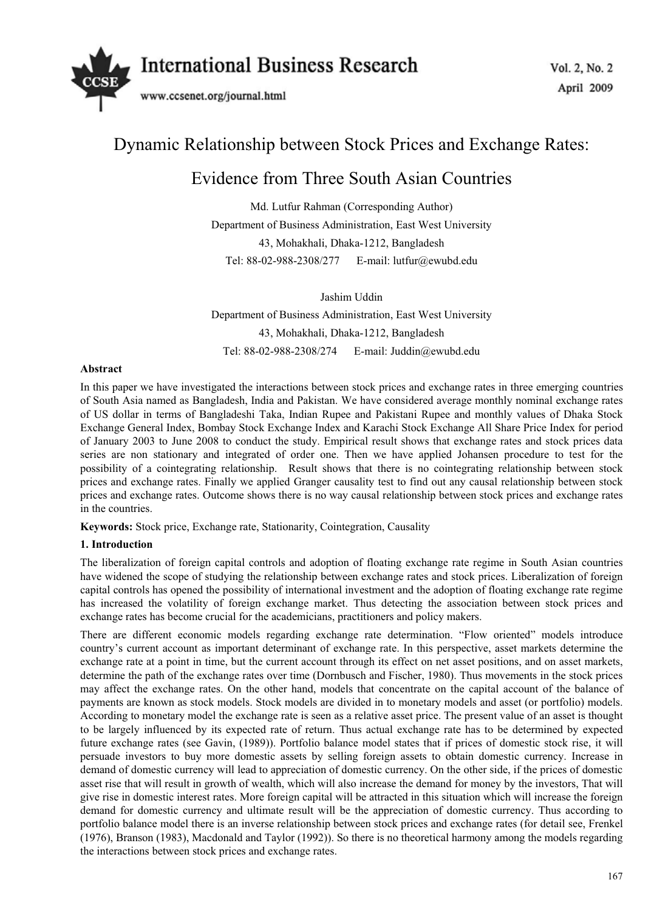

# Dynamic Relationship between Stock Prices and Exchange Rates:

# Evidence from Three South Asian Countries

Md. Lutfur Rahman (Corresponding Author) Department of Business Administration, East West University 43, Mohakhali, Dhaka-1212, Bangladesh Tel: 88-02-988-2308/277 E-mail: lutfur@ewubd.edu

Jashim Uddin Department of Business Administration, East West University 43, Mohakhali, Dhaka-1212, Bangladesh Tel: 88-02-988-2308/274 E-mail: Juddin@ewubd.edu

## **Abstract**

In this paper we have investigated the interactions between stock prices and exchange rates in three emerging countries of South Asia named as Bangladesh, India and Pakistan. We have considered average monthly nominal exchange rates of US dollar in terms of Bangladeshi Taka, Indian Rupee and Pakistani Rupee and monthly values of Dhaka Stock Exchange General Index, Bombay Stock Exchange Index and Karachi Stock Exchange All Share Price Index for period of January 2003 to June 2008 to conduct the study. Empirical result shows that exchange rates and stock prices data series are non stationary and integrated of order one. Then we have applied Johansen procedure to test for the possibility of a cointegrating relationship. Result shows that there is no cointegrating relationship between stock prices and exchange rates. Finally we applied Granger causality test to find out any causal relationship between stock prices and exchange rates. Outcome shows there is no way causal relationship between stock prices and exchange rates in the countries.

**Keywords:** Stock price, Exchange rate, Stationarity, Cointegration, Causality

# **1. Introduction**

The liberalization of foreign capital controls and adoption of floating exchange rate regime in South Asian countries have widened the scope of studying the relationship between exchange rates and stock prices. Liberalization of foreign capital controls has opened the possibility of international investment and the adoption of floating exchange rate regime has increased the volatility of foreign exchange market. Thus detecting the association between stock prices and exchange rates has become crucial for the academicians, practitioners and policy makers.

There are different economic models regarding exchange rate determination. "Flow oriented" models introduce country's current account as important determinant of exchange rate. In this perspective, asset markets determine the exchange rate at a point in time, but the current account through its effect on net asset positions, and on asset markets, determine the path of the exchange rates over time (Dornbusch and Fischer, 1980). Thus movements in the stock prices may affect the exchange rates. On the other hand, models that concentrate on the capital account of the balance of payments are known as stock models. Stock models are divided in to monetary models and asset (or portfolio) models. According to monetary model the exchange rate is seen as a relative asset price. The present value of an asset is thought to be largely influenced by its expected rate of return. Thus actual exchange rate has to be determined by expected future exchange rates (see Gavin, (1989)). Portfolio balance model states that if prices of domestic stock rise, it will persuade investors to buy more domestic assets by selling foreign assets to obtain domestic currency. Increase in demand of domestic currency will lead to appreciation of domestic currency. On the other side, if the prices of domestic asset rise that will result in growth of wealth, which will also increase the demand for money by the investors, That will give rise in domestic interest rates. More foreign capital will be attracted in this situation which will increase the foreign demand for domestic currency and ultimate result will be the appreciation of domestic currency. Thus according to portfolio balance model there is an inverse relationship between stock prices and exchange rates (for detail see, Frenkel (1976), Branson (1983), Macdonald and Taylor (1992)). So there is no theoretical harmony among the models regarding the interactions between stock prices and exchange rates.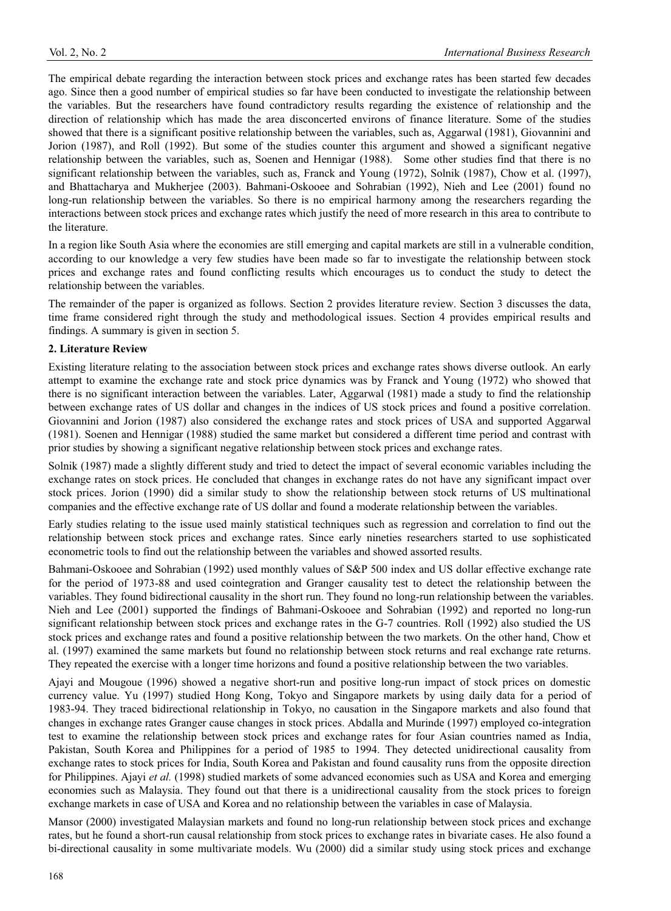The empirical debate regarding the interaction between stock prices and exchange rates has been started few decades ago. Since then a good number of empirical studies so far have been conducted to investigate the relationship between the variables. But the researchers have found contradictory results regarding the existence of relationship and the direction of relationship which has made the area disconcerted environs of finance literature. Some of the studies showed that there is a significant positive relationship between the variables, such as, Aggarwal (1981), Giovannini and Jorion (1987), and Roll (1992). But some of the studies counter this argument and showed a significant negative relationship between the variables, such as, Soenen and Hennigar (1988). Some other studies find that there is no significant relationship between the variables, such as, Franck and Young (1972), Solnik (1987), Chow et al. (1997), and Bhattacharya and Mukherjee (2003). Bahmani-Oskooee and Sohrabian (1992), Nieh and Lee (2001) found no long-run relationship between the variables. So there is no empirical harmony among the researchers regarding the interactions between stock prices and exchange rates which justify the need of more research in this area to contribute to the literature.

In a region like South Asia where the economies are still emerging and capital markets are still in a vulnerable condition, according to our knowledge a very few studies have been made so far to investigate the relationship between stock prices and exchange rates and found conflicting results which encourages us to conduct the study to detect the relationship between the variables.

The remainder of the paper is organized as follows. Section 2 provides literature review. Section 3 discusses the data, time frame considered right through the study and methodological issues. Section 4 provides empirical results and findings. A summary is given in section 5.

### **2. Literature Review**

Existing literature relating to the association between stock prices and exchange rates shows diverse outlook. An early attempt to examine the exchange rate and stock price dynamics was by Franck and Young (1972) who showed that there is no significant interaction between the variables. Later, Aggarwal (1981) made a study to find the relationship between exchange rates of US dollar and changes in the indices of US stock prices and found a positive correlation. Giovannini and Jorion (1987) also considered the exchange rates and stock prices of USA and supported Aggarwal (1981). Soenen and Hennigar (1988) studied the same market but considered a different time period and contrast with prior studies by showing a significant negative relationship between stock prices and exchange rates.

Solnik (1987) made a slightly different study and tried to detect the impact of several economic variables including the exchange rates on stock prices. He concluded that changes in exchange rates do not have any significant impact over stock prices. Jorion (1990) did a similar study to show the relationship between stock returns of US multinational companies and the effective exchange rate of US dollar and found a moderate relationship between the variables.

Early studies relating to the issue used mainly statistical techniques such as regression and correlation to find out the relationship between stock prices and exchange rates. Since early nineties researchers started to use sophisticated econometric tools to find out the relationship between the variables and showed assorted results.

Bahmani-Oskooee and Sohrabian (1992) used monthly values of S&P 500 index and US dollar effective exchange rate for the period of 1973-88 and used cointegration and Granger causality test to detect the relationship between the variables. They found bidirectional causality in the short run. They found no long-run relationship between the variables. Nieh and Lee (2001) supported the findings of Bahmani-Oskooee and Sohrabian (1992) and reported no long-run significant relationship between stock prices and exchange rates in the G-7 countries. Roll (1992) also studied the US stock prices and exchange rates and found a positive relationship between the two markets. On the other hand, Chow et al. (1997) examined the same markets but found no relationship between stock returns and real exchange rate returns. They repeated the exercise with a longer time horizons and found a positive relationship between the two variables.

Ajayi and Mougoue (1996) showed a negative short-run and positive long-run impact of stock prices on domestic currency value. Yu (1997) studied Hong Kong, Tokyo and Singapore markets by using daily data for a period of 1983-94. They traced bidirectional relationship in Tokyo, no causation in the Singapore markets and also found that changes in exchange rates Granger cause changes in stock prices. Abdalla and Murinde (1997) employed co-integration test to examine the relationship between stock prices and exchange rates for four Asian countries named as India, Pakistan, South Korea and Philippines for a period of 1985 to 1994. They detected unidirectional causality from exchange rates to stock prices for India, South Korea and Pakistan and found causality runs from the opposite direction for Philippines. Ajayi *et al.* (1998) studied markets of some advanced economies such as USA and Korea and emerging economies such as Malaysia. They found out that there is a unidirectional causality from the stock prices to foreign exchange markets in case of USA and Korea and no relationship between the variables in case of Malaysia.

Mansor (2000) investigated Malaysian markets and found no long-run relationship between stock prices and exchange rates, but he found a short-run causal relationship from stock prices to exchange rates in bivariate cases. He also found a bi-directional causality in some multivariate models. Wu (2000) did a similar study using stock prices and exchange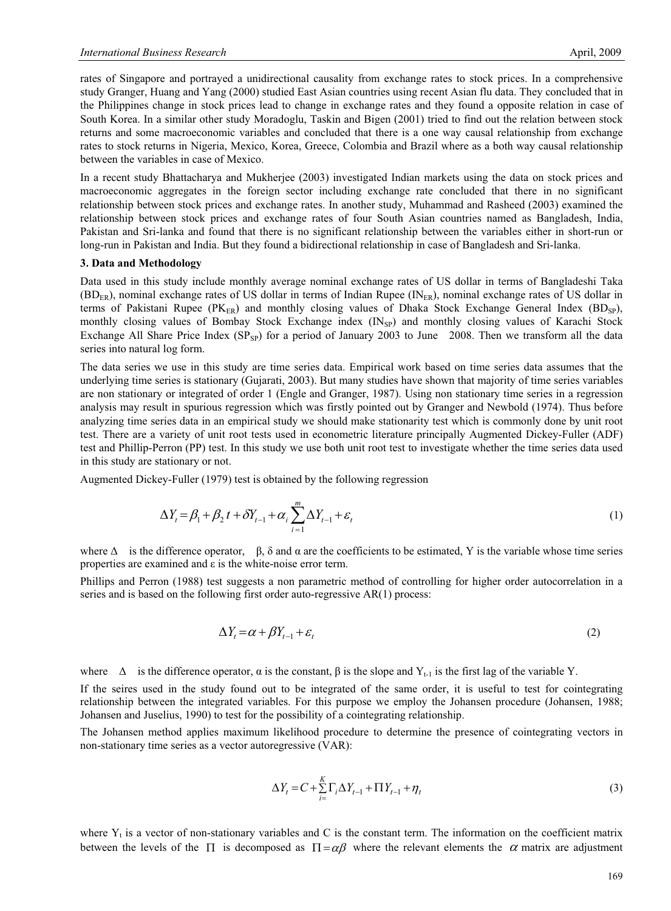rates of Singapore and portrayed a unidirectional causality from exchange rates to stock prices. In a comprehensive study Granger, Huang and Yang (2000) studied East Asian countries using recent Asian flu data. They concluded that in the Philippines change in stock prices lead to change in exchange rates and they found a opposite relation in case of South Korea. In a similar other study Moradoglu, Taskin and Bigen (2001) tried to find out the relation between stock returns and some macroeconomic variables and concluded that there is a one way causal relationship from exchange rates to stock returns in Nigeria, Mexico, Korea, Greece, Colombia and Brazil where as a both way causal relationship between the variables in case of Mexico.

In a recent study Bhattacharya and Mukherjee (2003) investigated Indian markets using the data on stock prices and macroeconomic aggregates in the foreign sector including exchange rate concluded that there in no significant relationship between stock prices and exchange rates. In another study, Muhammad and Rasheed (2003) examined the relationship between stock prices and exchange rates of four South Asian countries named as Bangladesh, India, Pakistan and Sri-lanka and found that there is no significant relationship between the variables either in short-run or long-run in Pakistan and India. But they found a bidirectional relationship in case of Bangladesh and Sri-lanka.

#### **3. Data and Methodology**

Data used in this study include monthly average nominal exchange rates of US dollar in terms of Bangladeshi Taka  $(BD_{FR})$ , nominal exchange rates of US dollar in terms of Indian Rupee ( $IN_{FR}$ ), nominal exchange rates of US dollar in terms of Pakistani Rupee ( $PK_{FR}$ ) and monthly closing values of Dhaka Stock Exchange General Index ( $BD_{SP}$ ), monthly closing values of Bombay Stock Exchange index  $(N_{SP})$  and monthly closing values of Karachi Stock Exchange All Share Price Index  $(SP_{SP})$  for a period of January 2003 to June 2008. Then we transform all the data series into natural log form.

The data series we use in this study are time series data. Empirical work based on time series data assumes that the underlying time series is stationary (Gujarati, 2003). But many studies have shown that majority of time series variables are non stationary or integrated of order 1 (Engle and Granger, 1987). Using non stationary time series in a regression analysis may result in spurious regression which was firstly pointed out by Granger and Newbold (1974). Thus before analyzing time series data in an empirical study we should make stationarity test which is commonly done by unit root test. There are a variety of unit root tests used in econometric literature principally Augmented Dickey-Fuller (ADF) test and Phillip-Perron (PP) test. In this study we use both unit root test to investigate whether the time series data used in this study are stationary or not.

Augmented Dickey-Fuller (1979) test is obtained by the following regression

$$
\Delta Y_t = \beta_1 + \beta_2 t + \delta Y_{t-1} + \alpha_i \sum_{i=1}^m \Delta Y_{t-1} + \varepsilon_t
$$
\n(1)

where  $\Delta$  is the difference operator,  $\beta$ ,  $\delta$  and  $\alpha$  are the coefficients to be estimated, Y is the variable whose time series properties are examined and  $\varepsilon$  is the white-noise error term.

Phillips and Perron (1988) test suggests a non parametric method of controlling for higher order autocorrelation in a series and is based on the following first order auto-regressive AR(1) process:

$$
\Delta Y_t = \alpha + \beta Y_{t-1} + \varepsilon_t \tag{2}
$$

where  $\Delta$  is the difference operator,  $\alpha$  is the constant,  $\beta$  is the slope and Y<sub>t-1</sub> is the first lag of the variable Y.

If the seires used in the study found out to be integrated of the same order, it is useful to test for cointegrating relationship between the integrated variables. For this purpose we employ the Johansen procedure (Johansen, 1988; Johansen and Juselius, 1990) to test for the possibility of a cointegrating relationship.

The Johansen method applies maximum likelihood procedure to determine the presence of cointegrating vectors in non-stationary time series as a vector autoregressive (VAR):

$$
\Delta Y_{t} = C + \sum_{i=1}^{K} \Gamma_{i} \Delta Y_{t-1} + \Pi Y_{t-1} + \eta_{t}
$$
\n(3)

where  $Y_t$  is a vector of non-stationary variables and C is the constant term. The information on the coefficient matrix between the levels of the  $\Pi$  is decomposed as  $\Pi = \alpha \beta$  where the relevant elements the  $\alpha$  matrix are adjustment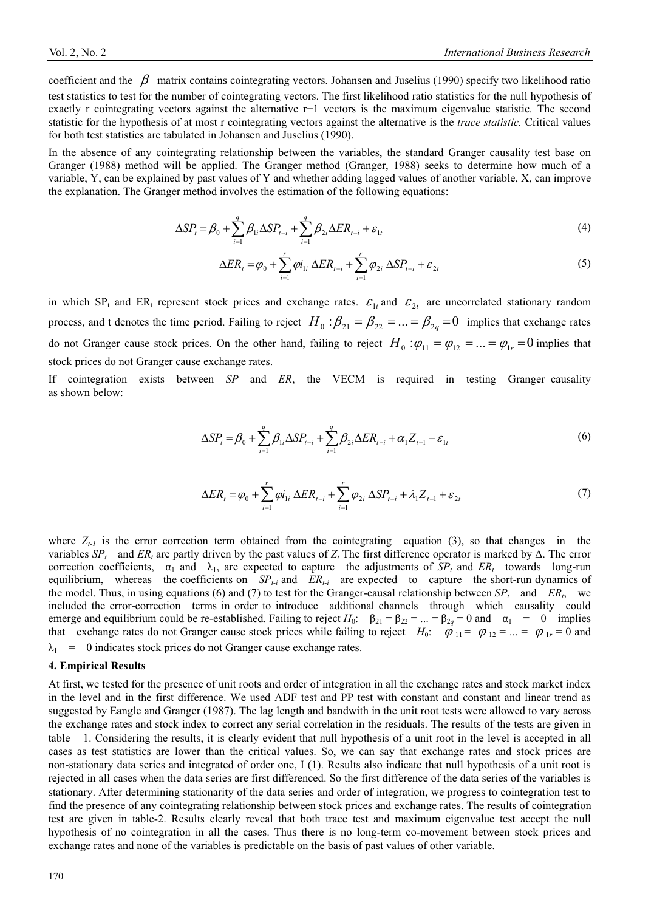coefficient and the  $\beta$  matrix contains cointegrating vectors. Johansen and Juselius (1990) specify two likelihood ratio test statistics to test for the number of cointegrating vectors. The first likelihood ratio statistics for the null hypothesis of exactly r cointegrating vectors against the alternative r+1 vectors is the maximum eigenvalue statistic*.* The second statistic for the hypothesis of at most r cointegrating vectors against the alternative is the *trace statistic.* Critical values for both test statistics are tabulated in Johansen and Juselius (1990).

In the absence of any cointegrating relationship between the variables, the standard Granger causality test base on Granger (1988) method will be applied. The Granger method (Granger, 1988) seeks to determine how much of a variable, Y, can be explained by past values of Y and whether adding lagged values of another variable, X, can improve the explanation. The Granger method involves the estimation of the following equations:

$$
\Delta SP_{i} = \beta_{0} + \sum_{i=1}^{q} \beta_{1i} \Delta SP_{i-i} + \sum_{i=1}^{q} \beta_{2i} \Delta ER_{i-i} + \varepsilon_{1i}
$$
\n(4)

$$
\Delta ER_t = \varphi_0 + \sum_{i=1}^r \varphi i_{1i} \Delta ER_{t-i} + \sum_{i=1}^r \varphi_{2i} \Delta SP_{t-i} + \varepsilon_{2t}
$$
 (5)

in which SP<sub>t</sub> and ER<sub>t</sub> represent stock prices and exchange rates.  $\varepsilon_{1t}$  and  $\varepsilon_{2t}$  are uncorrelated stationary random process, and t denotes the time period. Failing to reject  $H_0$ : $\beta_{21} = \beta_{22} = ... = \beta_{2q} = 0$  implies that exchange rates do not Granger cause stock prices. On the other hand, failing to reject  $H_0: \varphi_{11} = \varphi_{12} = ... = \varphi_{1r} = 0$  implies that stock prices do not Granger cause exchange rates.

If cointegration exists between *SP* and *ER*, the VECM is required in testing Granger causality as shown below:

$$
\Delta SP_{i} = \beta_{0} + \sum_{i=1}^{q} \beta_{1i} \Delta SP_{i-i} + \sum_{i=1}^{q} \beta_{2i} \Delta ER_{i-i} + \alpha_{1} Z_{i-1} + \varepsilon_{1i}
$$
(6)

$$
\Delta ER_t = \varphi_0 + \sum_{i=1}^r \varphi i_{1i} \ \Delta ER_{t-i} + \sum_{i=1}^r \varphi_{2i} \ \Delta SP_{t-i} + \lambda_1 Z_{t-1} + \varepsilon_{2t} \tag{7}
$$

where  $Z_{t-1}$  is the error correction term obtained from the cointegrating equation (3), so that changes in the variables  $SP_t$  and  $ER_t$  are partly driven by the past values of  $Z_t$  The first difference operator is marked by  $\Delta$ . The error correction coefficients,  $\alpha_1$  and  $\lambda_1$ , are expected to capture the adjustments of  $SP_t$  and  $ER_t$  towards long-run equilibrium, whereas the coefficients on  $SP_{t-i}$  and  $ER_{t-i}$  are expected to capture the short-run dynamics of the model. Thus, in using equations (6) and (7) to test for the Granger-causal relationship between  $SP<sub>t</sub>$  and  $ER<sub>t</sub>$ , we included the error-correction terms in order to introduce additional channels through which causality could emerge and equilibrium could be re-established. Failing to reject  $H_0$ :  $\beta_{21} = \beta_{22} = ... = \beta_{2q} = 0$  and  $\alpha_1 = 0$  implies that exchange rates do not Granger cause stock prices while failing to reject  $H_0$ :  $\varphi_{11} = \varphi_{12} = ... = \varphi_{1r} = 0$  and  $\lambda_1$  = 0 indicates stock prices do not Granger cause exchange rates.

#### **4. Empirical Results**

At first, we tested for the presence of unit roots and order of integration in all the exchange rates and stock market index in the level and in the first difference. We used ADF test and PP test with constant and constant and linear trend as suggested by Eangle and Granger (1987). The lag length and bandwith in the unit root tests were allowed to vary across the exchange rates and stock index to correct any serial correlation in the residuals. The results of the tests are given in table – 1. Considering the results, it is clearly evident that null hypothesis of a unit root in the level is accepted in all cases as test statistics are lower than the critical values. So, we can say that exchange rates and stock prices are non-stationary data series and integrated of order one, I (1). Results also indicate that null hypothesis of a unit root is rejected in all cases when the data series are first differenced. So the first difference of the data series of the variables is stationary. After determining stationarity of the data series and order of integration, we progress to cointegration test to find the presence of any cointegrating relationship between stock prices and exchange rates. The results of cointegration test are given in table-2. Results clearly reveal that both trace test and maximum eigenvalue test accept the null hypothesis of no cointegration in all the cases. Thus there is no long-term co-movement between stock prices and exchange rates and none of the variables is predictable on the basis of past values of other variable.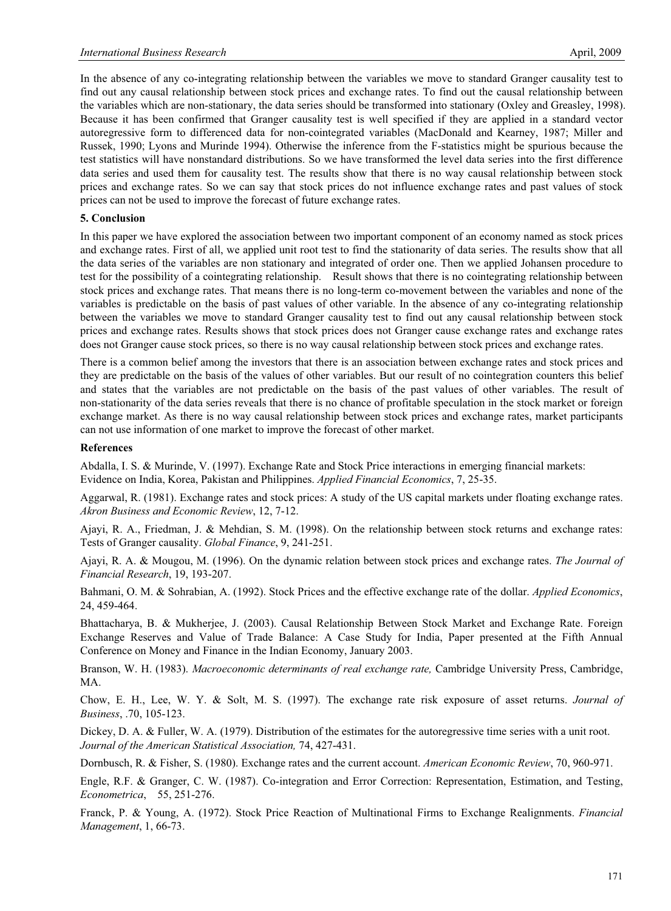In the absence of any co-integrating relationship between the variables we move to standard Granger causality test to find out any causal relationship between stock prices and exchange rates. To find out the causal relationship between the variables which are non-stationary, the data series should be transformed into stationary (Oxley and Greasley, 1998). Because it has been confirmed that Granger causality test is well specified if they are applied in a standard vector autoregressive form to differenced data for non-cointegrated variables (MacDonald and Kearney, 1987; Miller and Russek, 1990; Lyons and Murinde 1994). Otherwise the inference from the F-statistics might be spurious because the test statistics will have nonstandard distributions. So we have transformed the level data series into the first difference data series and used them for causality test. The results show that there is no way causal relationship between stock prices and exchange rates. So we can say that stock prices do not influence exchange rates and past values of stock prices can not be used to improve the forecast of future exchange rates.

#### **5. Conclusion**

In this paper we have explored the association between two important component of an economy named as stock prices and exchange rates. First of all, we applied unit root test to find the stationarity of data series. The results show that all the data series of the variables are non stationary and integrated of order one. Then we applied Johansen procedure to test for the possibility of a cointegrating relationship. Result shows that there is no cointegrating relationship between stock prices and exchange rates. That means there is no long-term co-movement between the variables and none of the variables is predictable on the basis of past values of other variable. In the absence of any co-integrating relationship between the variables we move to standard Granger causality test to find out any causal relationship between stock prices and exchange rates. Results shows that stock prices does not Granger cause exchange rates and exchange rates does not Granger cause stock prices, so there is no way causal relationship between stock prices and exchange rates.

There is a common belief among the investors that there is an association between exchange rates and stock prices and they are predictable on the basis of the values of other variables. But our result of no cointegration counters this belief and states that the variables are not predictable on the basis of the past values of other variables. The result of non-stationarity of the data series reveals that there is no chance of profitable speculation in the stock market or foreign exchange market. As there is no way causal relationship between stock prices and exchange rates, market participants can not use information of one market to improve the forecast of other market.

#### **References**

Abdalla, I. S. & Murinde, V. (1997). Exchange Rate and Stock Price interactions in emerging financial markets: Evidence on India, Korea, Pakistan and Philippines. *Applied Financial Economics*, 7, 25-35.

Aggarwal, R. (1981). Exchange rates and stock prices: A study of the US capital markets under floating exchange rates. *Akron Business and Economic Review*, 12, 7-12.

Ajayi, R. A., Friedman, J. & Mehdian, S. M. (1998). On the relationship between stock returns and exchange rates: Tests of Granger causality. *Global Finance*, 9, 241-251.

Ajayi, R. A. & Mougou, M. (1996). On the dynamic relation between stock prices and exchange rates. *The Journal of Financial Research*, 19, 193-207.

Bahmani, O. M. & Sohrabian, A. (1992). Stock Prices and the effective exchange rate of the dollar. *Applied Economics*, 24, 459-464.

Bhattacharya, B. & Mukherjee, J. (2003). Causal Relationship Between Stock Market and Exchange Rate. Foreign Exchange Reserves and Value of Trade Balance: A Case Study for India, Paper presented at the Fifth Annual Conference on Money and Finance in the Indian Economy, January 2003.

Branson, W. H. (1983). *Macroeconomic determinants of real exchange rate,* Cambridge University Press, Cambridge, MA.

Chow, E. H., Lee, W. Y. & Solt, M. S. (1997). The exchange rate risk exposure of asset returns. *Journal of Business*, .70, 105-123.

Dickey, D. A. & Fuller, W. A. (1979). Distribution of the estimates for the autoregressive time series with a unit root. *Journal of the American Statistical Association,* 74, 427-431.

Dornbusch, R. & Fisher, S. (1980). Exchange rates and the current account. *American Economic Review*, 70, 960-971.

Engle, R.F. & Granger, C. W. (1987). Co-integration and Error Correction: Representation, Estimation, and Testing, *Econometrica*, 55, 251-276.

Franck, P. & Young, A. (1972). Stock Price Reaction of Multinational Firms to Exchange Realignments. *Financial Management*, 1, 66-73.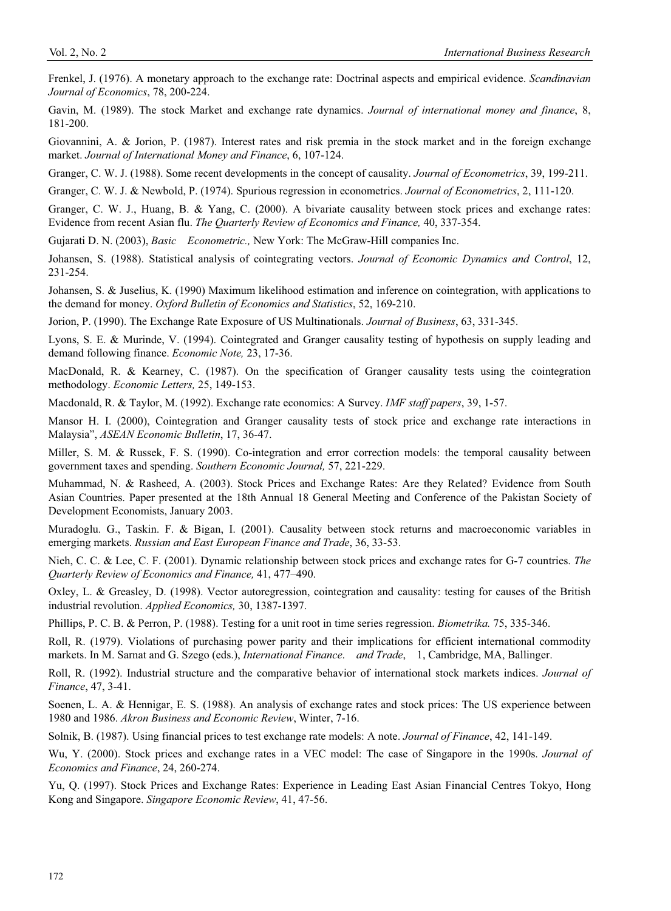Frenkel, J. (1976). A monetary approach to the exchange rate: Doctrinal aspects and empirical evidence. *Scandinavian Journal of Economics*, 78, 200-224.

Gavin, M. (1989). The stock Market and exchange rate dynamics. *Journal of international money and finance*, 8, 181-200.

Giovannini, A. & Jorion, P. (1987). Interest rates and risk premia in the stock market and in the foreign exchange market. *Journal of International Money and Finance*, 6, 107-124.

Granger, C. W. J. (1988). Some recent developments in the concept of causality. *Journal of Econometrics*, 39, 199-211.

Granger, C. W. J. & Newbold, P. (1974). Spurious regression in econometrics. *Journal of Econometrics*, 2, 111-120.

Granger, C. W. J., Huang, B. & Yang, C. (2000). A bivariate causality between stock prices and exchange rates: Evidence from recent Asian flu. *The Quarterly Review of Economics and Finance,* 40, 337-354.

Gujarati D. N. (2003), *Basic Econometric.,* New York: The McGraw-Hill companies Inc.

Johansen, S. (1988). Statistical analysis of cointegrating vectors. *Journal of Economic Dynamics and Control*, 12, 231-254.

Johansen, S. & Juselius, K. (1990) Maximum likelihood estimation and inference on cointegration, with applications to the demand for money. *Oxford Bulletin of Economics and Statistics*, 52, 169-210.

Jorion, P. (1990). The Exchange Rate Exposure of US Multinationals. *Journal of Business*, 63, 331-345.

Lyons, S. E. & Murinde, V. (1994). Cointegrated and Granger causality testing of hypothesis on supply leading and demand following finance. *Economic Note,* 23, 17-36.

MacDonald, R. & Kearney, C. (1987). On the specification of Granger causality tests using the cointegration methodology. *Economic Letters,* 25, 149-153.

Macdonald, R. & Taylor, M. (1992). Exchange rate economics: A Survey. *IMF staff papers*, 39, 1-57.

Mansor H. I. (2000), Cointegration and Granger causality tests of stock price and exchange rate interactions in Malaysia", *ASEAN Economic Bulletin*, 17, 36-47.

Miller, S. M. & Russek, F. S. (1990). Co-integration and error correction models: the temporal causality between government taxes and spending. *Southern Economic Journal,* 57, 221-229.

Muhammad, N. & Rasheed, A. (2003). Stock Prices and Exchange Rates: Are they Related? Evidence from South Asian Countries. Paper presented at the 18th Annual 18 General Meeting and Conference of the Pakistan Society of Development Economists, January 2003.

Muradoglu. G., Taskin. F. & Bigan, I. (2001). Causality between stock returns and macroeconomic variables in emerging markets. *Russian and East European Finance and Trade*, 36, 33-53.

Nieh, C. C. & Lee, C. F. (2001). Dynamic relationship between stock prices and exchange rates for G-7 countries. *The Quarterly Review of Economics and Finance,* 41, 477–490.

Oxley, L. & Greasley, D. (1998). Vector autoregression, cointegration and causality: testing for causes of the British industrial revolution. *Applied Economics,* 30, 1387-1397.

Phillips, P. C. B. & Perron, P. (1988). Testing for a unit root in time series regression. *Biometrika.* 75, 335-346.

Roll, R. (1979). Violations of purchasing power parity and their implications for efficient international commodity markets. In M. Sarnat and G. Szego (eds.), *International Finance*. *and Trade*, 1, Cambridge, MA, Ballinger.

Roll, R. (1992). Industrial structure and the comparative behavior of international stock markets indices. *Journal of Finance*, 47, 3-41.

Soenen, L. A. & Hennigar, E. S. (1988). An analysis of exchange rates and stock prices: The US experience between 1980 and 1986. *Akron Business and Economic Review*, Winter, 7-16.

Solnik, B. (1987). Using financial prices to test exchange rate models: A note. *Journal of Finance*, 42, 141-149.

Wu, Y. (2000). Stock prices and exchange rates in a VEC model: The case of Singapore in the 1990s. *Journal of Economics and Finance*, 24, 260-274.

Yu, Q. (1997). Stock Prices and Exchange Rates: Experience in Leading East Asian Financial Centres Tokyo, Hong Kong and Singapore. *Singapore Economic Review*, 41, 47-56.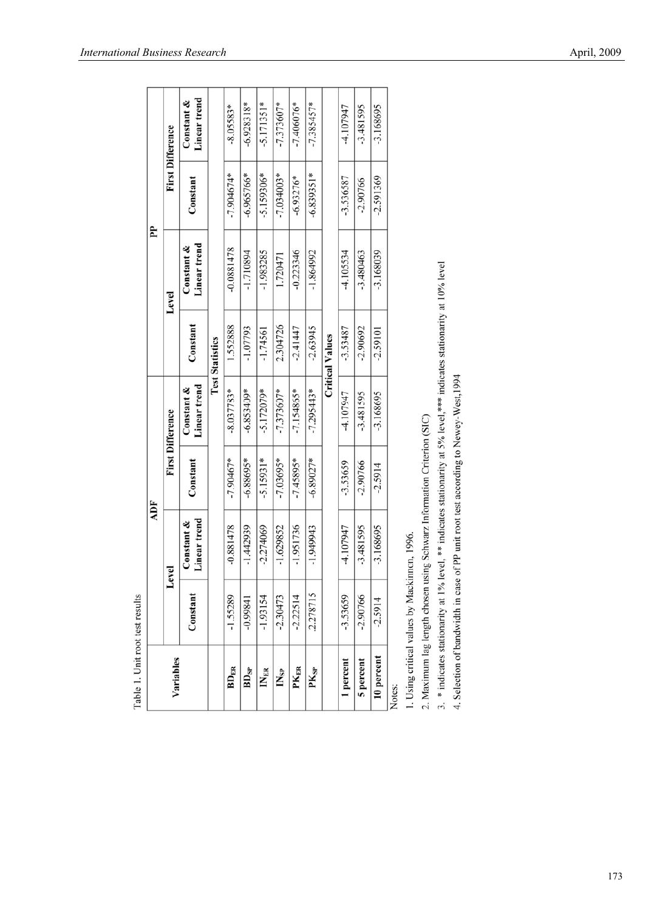|                           |            | ADF                        |             |                            |                        | ድ                          |              |                            |
|---------------------------|------------|----------------------------|-------------|----------------------------|------------------------|----------------------------|--------------|----------------------------|
| Variables                 |            | Level                      |             | <b>First Difference</b>    |                        | Level                      |              | First Difference           |
|                           | Constan    | Linear trend<br>Constant & | Constant    | Linear trend<br>Constant & | Constant               | Linear trend<br>Constant & | Constant     | Linear trend<br>Constant & |
|                           |            |                            |             |                            | <b>Test Statistics</b> |                            |              |                            |
| $\mathbf{BD}_\mathrm{ER}$ | $-1.5528$  | $-0.881478$                | $-7.90467*$ | $-8.037783*$               | 1.552888               | $-0.0881478$               | $-7.904674*$ | $-8.05583*$                |
| $BD_{SP}$                 | $-0.9984$  | $-1.442939$                | $-6.88695*$ | $-6.853409*$               | $-1.07793$             | $-1.710894$                | $-6.965766*$ | $-6.928318*$               |
| $N_{ER}$                  | $-1.93154$ | $-2.274069$                | $-5.15931*$ | $-5.172079*$               | $-1.74561$             | -1.983285                  | 5.159306*    | 5.171351*                  |
| $IN_{SP}$                 | $-2.30473$ | $-1.629852$                | $-7.03695*$ | $-7.373607*$               | 2.304726               | 1.720471                   | $-7.034003*$ | $-7.373607*$               |
| PK <sub>ER</sub>          | $-2.22514$ | $-1.951736$                | $-7.45895*$ | $-7.154865*$               | $-2.41447$             | $-0.223346$                | $-6.93276*$  | $-7.406076*$               |
| PK <sub>SP</sub>          | 2.27871    | $-1.949943$                | $-6.89027*$ | $-7.295443*$               | $-2.63945$             | $-1.864992$                | $-6.839351*$ | $-7.385457*$               |
|                           |            |                            |             |                            | <b>Critical Values</b> |                            |              |                            |
| 1 percent                 | $-3.53659$ | -4.107947                  | $-3.53659$  | -4.107947                  | $-3.53487$             | $-4.105534$                | $-3.536587$  | -4.107947                  |
| 5 percent                 | $-2.90766$ | $-3.481595$                | $-2.90766$  | $-3.481595$                | $-2.90692$             | $-3.480463$                | $-2.90766$   | $-3.481595$                |
| 10 percent                | $-2.5914$  | $-3.168695$                | $-2.5914$   | -3.168695                  | $-2.59101$             | $-3.168039$                | $-2.591369$  | $-3.168695$                |
| Notes:                    |            |                            |             |                            |                        |                            |              |                            |

Table 1. Unit root test results

1. Using critical values by Mackinnon, 1996.

2. Maximum lag length chosen using Schwarz Information Criterion (SIC)

3. \* indicates stationarity at 1% level, \*\* indicates stationarity at 5% level, \*\*\* indicates stationarity at 10% level

4. Selection of bandwidth in case of PP unit root test according to Newey-West, 1994